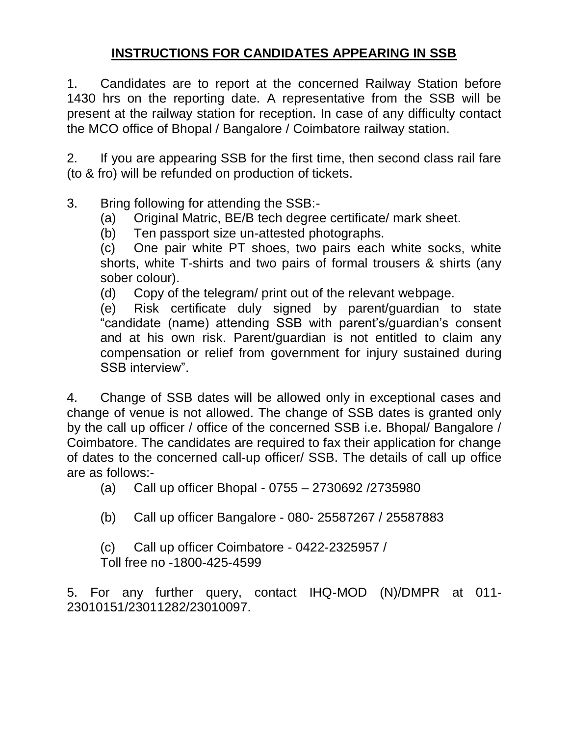# **INSTRUCTIONS FOR CANDIDATES APPEARING IN SSB**

1. Candidates are to report at the concerned Railway Station before 1430 hrs on the reporting date. A representative from the SSB will be present at the railway station for reception. In case of any difficulty contact the MCO office of Bhopal / Bangalore / Coimbatore railway station.

2. If you are appearing SSB for the first time, then second class rail fare (to & fro) will be refunded on production of tickets.

3. Bring following for attending the SSB:-

- (a) Original Matric, BE/B tech degree certificate/ mark sheet.
- (b) Ten passport size un-attested photographs.

(c) One pair white PT shoes, two pairs each white socks, white shorts, white T-shirts and two pairs of formal trousers & shirts (any sober colour).

(d) Copy of the telegram/ print out of the relevant webpage.

(e) Risk certificate duly signed by parent/guardian to state "candidate (name) attending SSB with parent's/guardian's consent and at his own risk. Parent/guardian is not entitled to claim any compensation or relief from government for injury sustained during SSB interview".

4. Change of SSB dates will be allowed only in exceptional cases and change of venue is not allowed. The change of SSB dates is granted only by the call up officer / office of the concerned SSB i.e. Bhopal/ Bangalore / Coimbatore. The candidates are required to fax their application for change of dates to the concerned call-up officer/ SSB. The details of call up office are as follows:-

(a) Call up officer Bhopal - 0755 – 2730692 /2735980

(b) Call up officer Bangalore - 080- 25587267 / 25587883

(c) Call up officer Coimbatore - 0422-2325957 / Toll free no -1800-425-4599

5. For any further query, contact IHQ-MOD (N)/DMPR at 011- 23010151/23011282/23010097.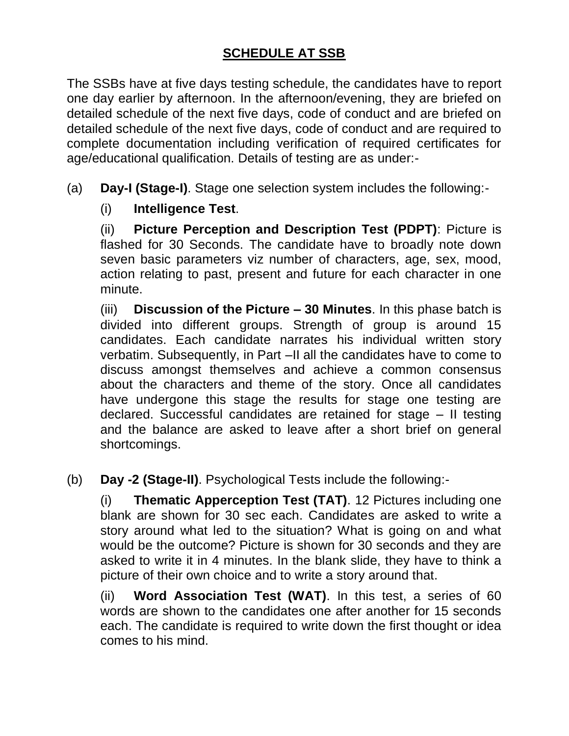# **SCHEDULE AT SSB**

The SSBs have at five days testing schedule, the candidates have to report one day earlier by afternoon. In the afternoon/evening, they are briefed on detailed schedule of the next five days, code of conduct and are briefed on detailed schedule of the next five days, code of conduct and are required to complete documentation including verification of required certificates for age/educational qualification. Details of testing are as under:-

(a) **Day-I (Stage-I)**. Stage one selection system includes the following:-

## (i) **Intelligence Test**.

(ii) **Picture Perception and Description Test (PDPT)**: Picture is flashed for 30 Seconds. The candidate have to broadly note down seven basic parameters viz number of characters, age, sex, mood, action relating to past, present and future for each character in one minute.

(iii) **Discussion of the Picture – 30 Minutes**. In this phase batch is divided into different groups. Strength of group is around 15 candidates. Each candidate narrates his individual written story verbatim. Subsequently, in Part –II all the candidates have to come to discuss amongst themselves and achieve a common consensus about the characters and theme of the story. Once all candidates have undergone this stage the results for stage one testing are declared. Successful candidates are retained for stage – II testing and the balance are asked to leave after a short brief on general shortcomings.

(b) **Day -2 (Stage-II)**. Psychological Tests include the following:-

(i) **Thematic Apperception Test (TAT)**. 12 Pictures including one blank are shown for 30 sec each. Candidates are asked to write a story around what led to the situation? What is going on and what would be the outcome? Picture is shown for 30 seconds and they are asked to write it in 4 minutes. In the blank slide, they have to think a picture of their own choice and to write a story around that.

(ii) **Word Association Test (WAT)**. In this test, a series of 60 words are shown to the candidates one after another for 15 seconds each. The candidate is required to write down the first thought or idea comes to his mind.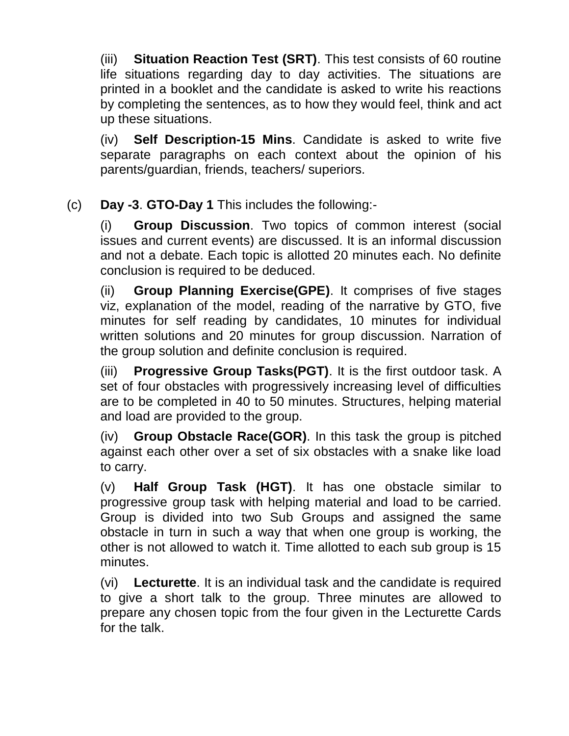(iii) **Situation Reaction Test (SRT)**. This test consists of 60 routine life situations regarding day to day activities. The situations are printed in a booklet and the candidate is asked to write his reactions by completing the sentences, as to how they would feel, think and act up these situations.

(iv) **Self Description-15 Mins**. Candidate is asked to write five separate paragraphs on each context about the opinion of his parents/guardian, friends, teachers/ superiors.

(c) **Day -3**. **GTO-Day 1** This includes the following:-

(i) **Group Discussion**. Two topics of common interest (social issues and current events) are discussed. It is an informal discussion and not a debate. Each topic is allotted 20 minutes each. No definite conclusion is required to be deduced.

(ii) **Group Planning Exercise(GPE)**. It comprises of five stages viz, explanation of the model, reading of the narrative by GTO, five minutes for self reading by candidates, 10 minutes for individual written solutions and 20 minutes for group discussion. Narration of the group solution and definite conclusion is required.

(iii) **Progressive Group Tasks(PGT)**. It is the first outdoor task. A set of four obstacles with progressively increasing level of difficulties are to be completed in 40 to 50 minutes. Structures, helping material and load are provided to the group.

(iv) **Group Obstacle Race(GOR)**. In this task the group is pitched against each other over a set of six obstacles with a snake like load to carry.

(v) **Half Group Task (HGT)**. It has one obstacle similar to progressive group task with helping material and load to be carried. Group is divided into two Sub Groups and assigned the same obstacle in turn in such a way that when one group is working, the other is not allowed to watch it. Time allotted to each sub group is 15 minutes.

(vi) **Lecturette**. It is an individual task and the candidate is required to give a short talk to the group. Three minutes are allowed to prepare any chosen topic from the four given in the Lecturette Cards for the talk.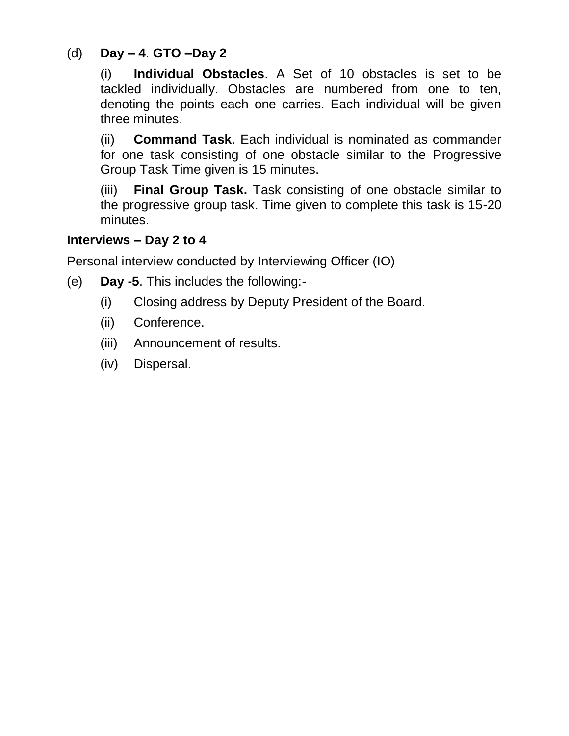# (d) **Day – 4**. **GTO –Day 2**

(i) **Individual Obstacles**. A Set of 10 obstacles is set to be tackled individually. Obstacles are numbered from one to ten, denoting the points each one carries. Each individual will be given three minutes.

(ii) **Command Task**. Each individual is nominated as commander for one task consisting of one obstacle similar to the Progressive Group Task Time given is 15 minutes.

(iii) **Final Group Task.** Task consisting of one obstacle similar to the progressive group task. Time given to complete this task is 15-20 minutes.

#### **Interviews – Day 2 to 4**

Personal interview conducted by Interviewing Officer (IO)

- (e) **Day -5**. This includes the following:-
	- (i) Closing address by Deputy President of the Board.
	- (ii) Conference.
	- (iii) Announcement of results.
	- (iv) Dispersal.